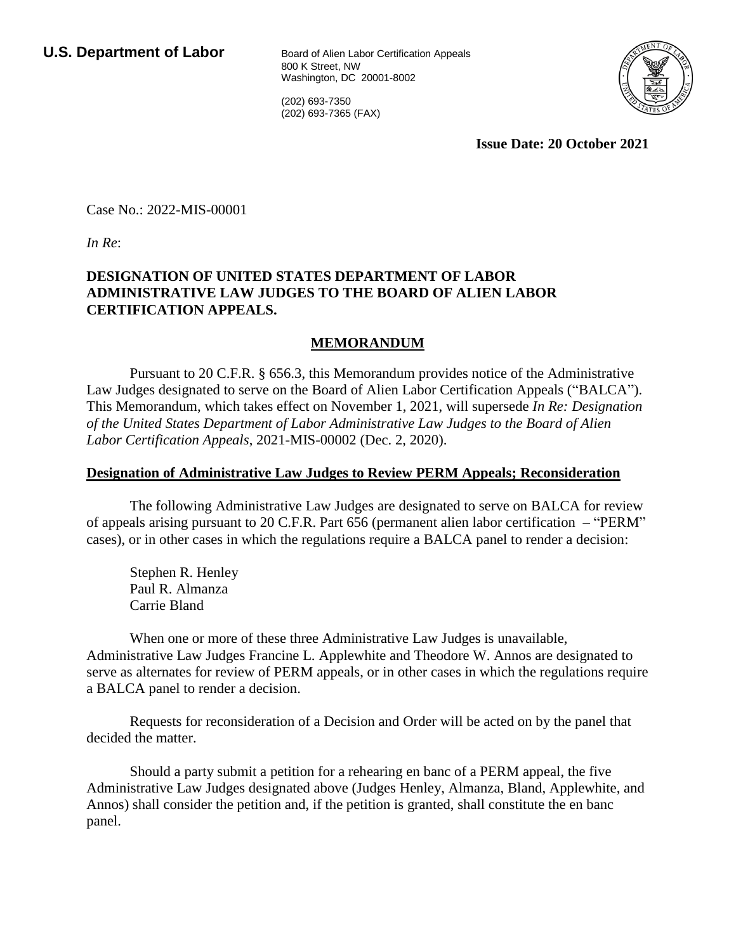800 K Street, NW Washington, DC 20001-8002

(202) 693-7350 (202) 693-7365 (FAX)



**Issue Date: 20 October 2021**

Case No.: 2022-MIS-00001

*In Re*:

## **DESIGNATION OF UNITED STATES DEPARTMENT OF LABOR ADMINISTRATIVE LAW JUDGES TO THE BOARD OF ALIEN LABOR CERTIFICATION APPEALS.**

## **MEMORANDUM**

Pursuant to 20 C.F.R. § 656.3, this Memorandum provides notice of the Administrative Law Judges designated to serve on the Board of Alien Labor Certification Appeals ("BALCA"). This Memorandum, which takes effect on November 1, 2021, will supersede *In Re: Designation of the United States Department of Labor Administrative Law Judges to the Board of Alien Labor Certification Appeals*, 2021-MIS-00002 (Dec. 2, 2020).

## **Designation of Administrative Law Judges to Review PERM Appeals; Reconsideration**

The following Administrative Law Judges are designated to serve on BALCA for review of appeals arising pursuant to 20 C.F.R. Part 656 (permanent alien labor certification – "PERM" cases), or in other cases in which the regulations require a BALCA panel to render a decision:

Stephen R. Henley Paul R. Almanza Carrie Bland

When one or more of these three Administrative Law Judges is unavailable, Administrative Law Judges Francine L. Applewhite and Theodore W. Annos are designated to serve as alternates for review of PERM appeals, or in other cases in which the regulations require a BALCA panel to render a decision.

Requests for reconsideration of a Decision and Order will be acted on by the panel that decided the matter.

Should a party submit a petition for a rehearing en banc of a PERM appeal, the five Administrative Law Judges designated above (Judges Henley, Almanza, Bland, Applewhite, and Annos) shall consider the petition and, if the petition is granted, shall constitute the en banc panel.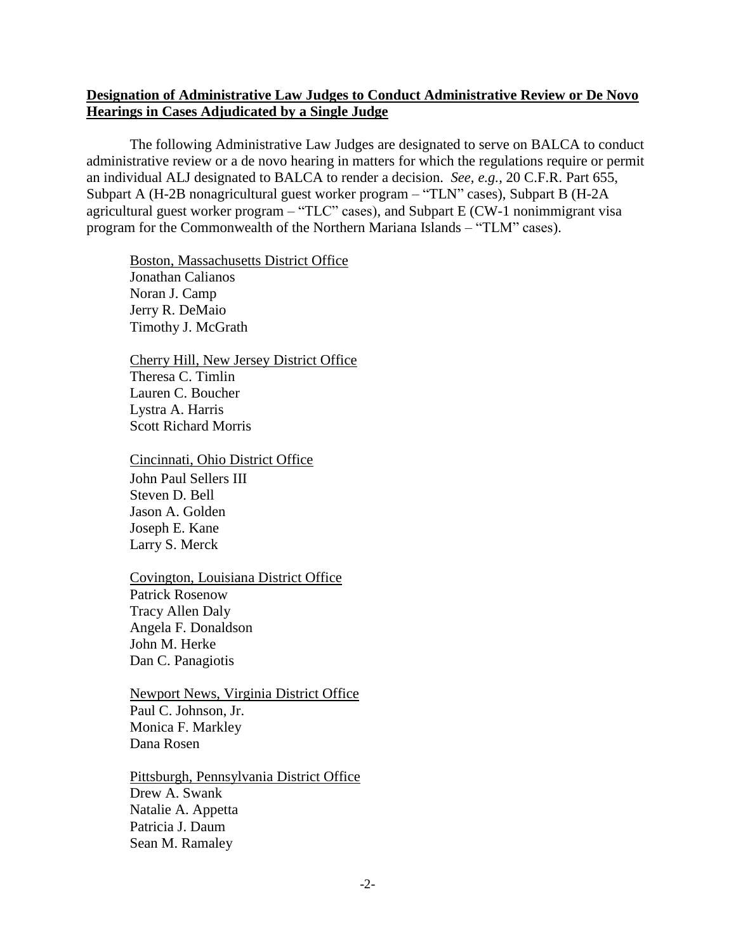## **Designation of Administrative Law Judges to Conduct Administrative Review or De Novo Hearings in Cases Adjudicated by a Single Judge**

The following Administrative Law Judges are designated to serve on BALCA to conduct administrative review or a de novo hearing in matters for which the regulations require or permit an individual ALJ designated to BALCA to render a decision. *See, e.g.*, 20 C.F.R. Part 655, Subpart A (H-2B nonagricultural guest worker program – "TLN" cases), Subpart B (H-2A agricultural guest worker program – "TLC" cases), and Subpart E (CW-1 nonimmigrant visa program for the Commonwealth of the Northern Mariana Islands – "TLM" cases).

Boston, Massachusetts District Office Jonathan Calianos Noran J. Camp Jerry R. DeMaio Timothy J. McGrath

Cherry Hill, New Jersey District Office Theresa C. Timlin Lauren C. Boucher Lystra A. Harris Scott Richard Morris

Cincinnati, Ohio District Office

John Paul Sellers III Steven D. Bell Jason A. Golden Joseph E. Kane Larry S. Merck

Covington, Louisiana District Office Patrick Rosenow Tracy Allen Daly Angela F. Donaldson John M. Herke Dan C. Panagiotis

Newport News, Virginia District Office Paul C. Johnson, Jr. Monica F. Markley Dana Rosen

Pittsburgh, Pennsylvania District Office Drew A. Swank Natalie A. Appetta Patricia J. Daum Sean M. Ramaley